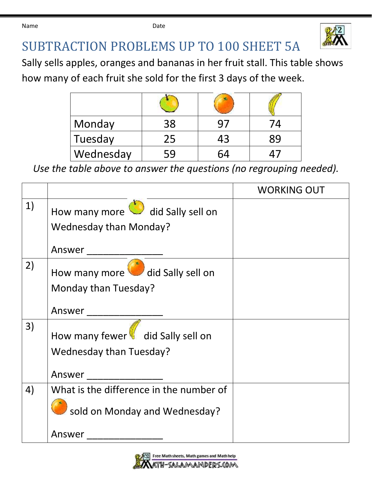Name **Date Date Date** 



## SUBTRACTION PROBLEMS UP TO 100 SHEET 5A

Sally sells apples, oranges and bananas in her fruit stall. This table shows

how many of each fruit she sold for the first 3 days of the week.

| Monday    | 38 |    |  |
|-----------|----|----|--|
| Tuesday   | 25 | 43 |  |
| Wednesday | 59 |    |  |

*Use the table above to answer the questions (no regrouping needed).*

|    |                                                                          | <b>WORKING OUT</b> |
|----|--------------------------------------------------------------------------|--------------------|
| 1) | How many more did Sally sell on<br><b>Wednesday than Monday?</b>         |                    |
|    | Answer                                                                   |                    |
| 2) | How many more did Sally sell on<br>Monday than Tuesday?                  |                    |
|    | Answer                                                                   |                    |
| 3) | How many fewer did Sally sell on<br><b>Wednesday than Tuesday?</b>       |                    |
|    | Answer                                                                   |                    |
| 4) | What is the difference in the number of<br>sold on Monday and Wednesday? |                    |
|    | Answer                                                                   |                    |